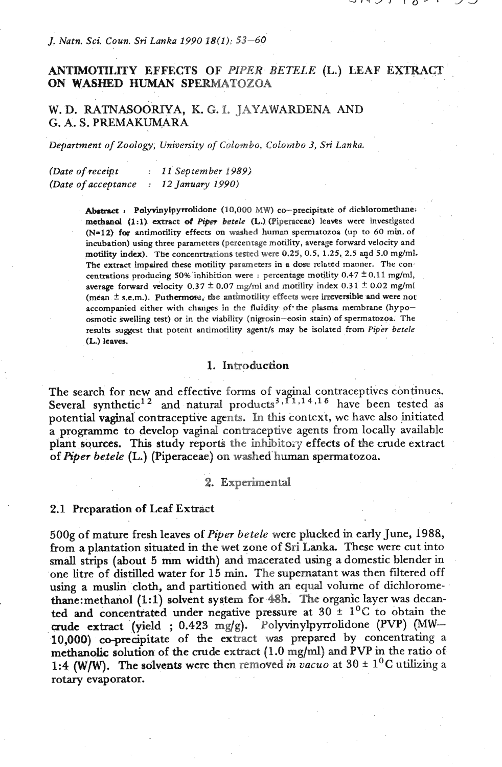#### *J. Natn. Sci. Coun.* **Sri** *Lanka 1990 18(1): 53-60*

# **ANTIMOTILITY EFFECTS OF PIPER BETELE (L.) LEAF EXTRACT ON WASHED HUMAN SPERMATOZOA**

# w. D. **RATNASOORTYA, K.** *G.* I. JAYAWARDENA AND **G. A. S.** PREMAKUMARA

*Department of Zoology; University of Colombo, Colombo 3, Sri Lanka.* 

*(Date of receipt* : *11' Sep tern ber 1989) (Date of acceptance* : *12 January 1990)* 

> Abstract : Polyvinylpyrrolidone (10,000 MW) co-precipitate of dichloromethane: **methanol** (1:1) extract of *Piper betele* (L.) (Piperaceae) leaves were investigated (N~12) **fq** antimotility effects on washed human spermatozoa (up to 60 **rnin.** of incubation) using three parameters (percentage motility, average forward velocity and motility index). The concentrations tested were 0.25, 0.5, 1.25, 2.5 and 5.0 mg/ml. The extract impaired fhese motility parameters in a **dose** related manner. The concentrations producing 50% inhibition were : percentage motility  $0.47 \pm 0.11$  mg/ml, average forward velocity  $0.37 \pm 0.07$  mg/ml and motility index  $0.31 \pm 0.02$  mg/ml (mean **f** 5.e.m.). **Futhermo~,** the **antimotility** effects were **irreversibk and were** not accompanied either with changes in the fluidity of the plasma membrane (hypoosmotic swelling test) or in the viability (nigrosin-eosin stain) of spermatozoa. The results suggest that potent antimotility agent/s may be isolated from Piper betele **(I..)** leaves.

#### 1. Introduction

The search for new and effective forms of vaginal contraceptives continues. Several synthetic<sup>12</sup> and natural products<sup>3,  $f_{1,14,15}$ </sup> have been tested as potential vaginal contraceptive agents. In this context, we have also initiated a programme to develop vaginal contraceptive agents from locally available plant squrces. This study reporti the **inhibits7** effects of the crude extract of **Wer** betele (L.) (Piperaceae) on washed-human spermatozoa.

#### 2. Experimental

#### 2.1 Preparation of Leaf Extract

500g of mature fresh leaves of *fiper* betek were plucked in early June, 1988, from a plantation situated in the wet zone of Sfi **Lanka.** These were cut into small strips (about 5 **mm** width) and macerated using a domestic blender in one litre of distilled water for 15 **min.** The supernatant **was** then filtered off using a muslin cloth, and partitioned with **an** equal volume of dichloromethane:methanol **(1:l)** solvent system for **48h.** The organic layer **was** decanted and concentrated under negative pressure at 30  $\pm$  1<sup>0</sup>C to obtain the crude extract (yield ; 0.423 mg/g). Polyvinylpyrrolidone (PVP) (MW-10,000) co-precipitate of the extract **was** prepared by concentrating a **methanolic** solution of the **crude** extract (1.0 mglml) and PW in the ratio of 1:4 **(W/W).** The solvents were then removed in vacuo at  $30 \pm 1$ <sup>o</sup>C utilizing a rotary evaporator.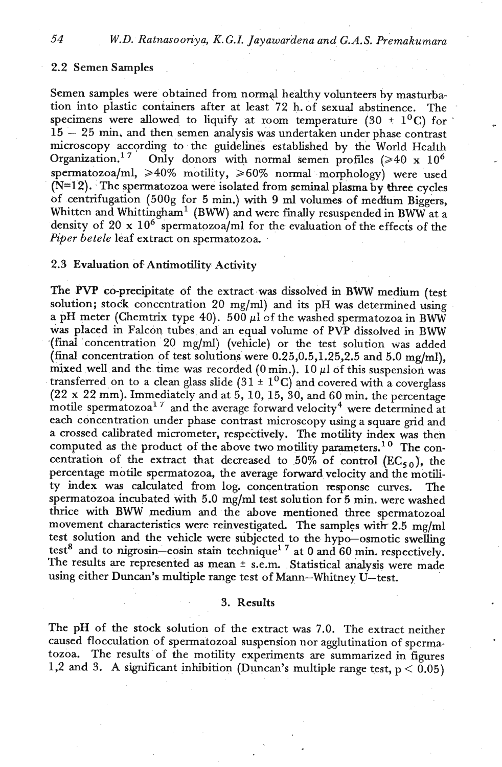## 2.2 Semen Samples

Semen samples were obtained from normal healthy volunteers by masturbation into plastic containers after at least 72 h. of sexual abstinence. The specimens were allowed to liquify at room temperature (30  $\pm$  1<sup>0</sup>C) for  $15-25$  min. and then semen analysis was undertaken under phase contrast microscopy according to the guidelines established by the World Health Organization.<sup>17</sup> Only donors with normal semen profiles  $\approx 40 \times 10^6$ Only donors with normal semen profiles  $(240 \times 10^6$ spermatozoa/ml,  $\geq 40\%$  motility,  $\geq 60\%$  normal morphology) were used  $(N=12)$ . The spermatozoa were isolated from seminal plasma by three cycles of centrifugation (500g for 5 min.) with 9 ml volumes of medlum Biggers, Whitten and Whittingham<sup>1</sup> (BWW) and were finally resuspended in BWW at a density of 20  $\times$  10<sup>6</sup> spermatozoa/ml for the evaluation of the effects of the *Piper* betele leaf extract on spermatozoa

# 2.3 Evaluation of. Antimotility Activity

The PW co-precipitate of the extract **was** dissolved in **B'WW** medium (test solution; stock concentration 20 mg/ml) and its pH was determined using a pH meter (Chemtrix type 40).  $500 \mu l$  of the washed spermatozoa in BWW was placed in Falcon tubes and an equal volume of PW dissolved in **BWW ,(final** concentration 20 mg/ml) (vehicle) or the test solution was added (final concentration of test solutions were  $0.25, 0.5, 1.25, 2.5$  and  $5.0$  mg/ml), mixed well and the time was recorded  $(0 \text{ min.})$ .  $10 \mu l$  of this suspension was transferred on to a clean glass slide  $(31 \pm 1^0)$  and covered with a coverglass (22 x 22 mm). Immediately and at 5, 10, 15, 30, and 60 min. the percentage motile spermatozoa<sup>17</sup> and the average forward velocity<sup>4</sup> were determined at each concentration under phase contrast microscopy using a square grid and a crossed calibrated micrometer, respectively. The motility index was then computed as the product of the above two motility parameters.<sup>10</sup> The concentration of the extract that decreased to 50% of control ( $EC_{50}$ ), the percentage motile spermatozoa, the average forward velocity and the motility index was calculated from log. concentration response curves. The spermatozoa incubated with  $5.0 \text{ mg/ml}$  test solution for 5 min. were washed thrice with **BWW** medium and the above mentioned three spermatozoa1 movement characteristics were reinvestigated. The samples with 2.5 mg/ml test solution and the vehicle were subjected to the hypo-osmotic swelling test<sup>8</sup> and to nigrosin-eosin stain technique<sup>17</sup> at 0 and 60 min. respectively. The results are represented as mean  $\pm$  s.e.m. Statistical analysis were made using either Duncan's multiple range test of Mann-Whitney  $U$ -test.

## 3. Results

The pH of the stock solution of the extract was 7.0. The extract neither caused flocculation of spermatozoal suspension nor agglutination of spermatozoa. The results of the motility experiments are summarized in figures 1,2 and 3. A significant inhibition (Duncan's multiple range test,  $p < 0.05$ )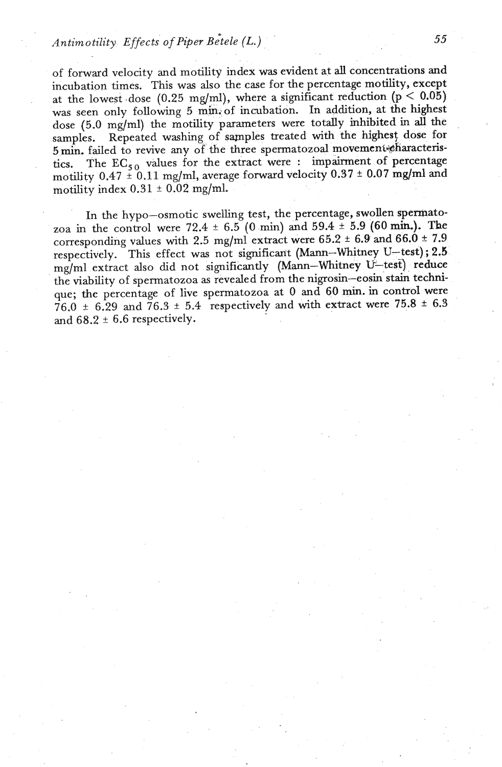of forward velocity and motility index was evident at all concentrations and incubation times. This was also the case for the percentage motility, except at the lowest dose  $(0.25 \text{ mg/ml})$ , where a significant reduction  $(p < 0.05)$ was seen only following 5 min. of incubation. In addition, at the highest dose **(5.0** mg/ml) the motility parameters were totally inhibited in **all** the samples. Repeated washing of samples treated with the highest dose for 5 min. failed to revive any of the three spermatozoal movement characteristics. The  $EC_{50}$  values for the extract were : impairment of percentage motility **0.47** + 0.1 **1** mg/ml, average forward velocity **0.37** + **0.07** mg/ml and motility index  $0.31 \pm 0.02$  mg/ml.

In the hypo-osmotic swelling test, the percentage, swollen spermatozoa in the control were **72.4** + **6.5 (0** min) and **59.4** + **5.9 (60 mh.).** The corresponding values with 2.5  $mg/ml$  extract were  $65.2 \pm 6.9$  and  $66.0 \pm 7.9$ respectively. This effect was not significant (Mann-Whitney U-test); 2.5 mg/ml extract also did not significantly (Mann-Whitney U-test) reduce the viability of spermatozoa as revealed from the nigrosin-eosin stain technique; the percentage of live spermatozoa at **0** and **60 min.** in control were  $76.0 \pm 6.29$  and  $76.3 \pm 5.4$  respectively and with extract were 75.8  $\pm$  6.3 and  $68.2 \pm 6.6$  respectively.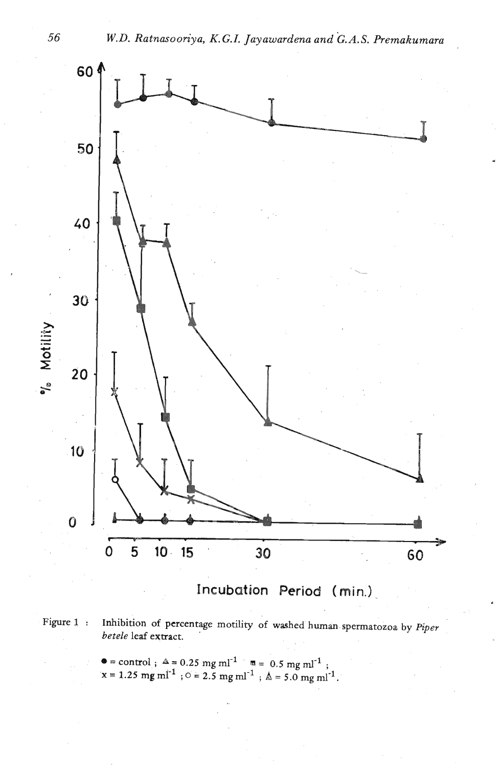

**Incubation Period** ( **min.)** .

**Figure 1** : **Inhibition of percentage motility of washed human spermatozoa by Piper**  *betele* **leaf exmact.** '

> $=$  **control**;  $A = 0.25$  mg ml<sup>-1</sup>  $\equiv 0.5$  mg ml<sup>-1</sup>;  $x = 1.25$  mg ml<sup>-1</sup>;  $0 = 2.5$  mg ml<sup>-1</sup>;  $A = 5.0$  mg ml<sup>-1</sup>.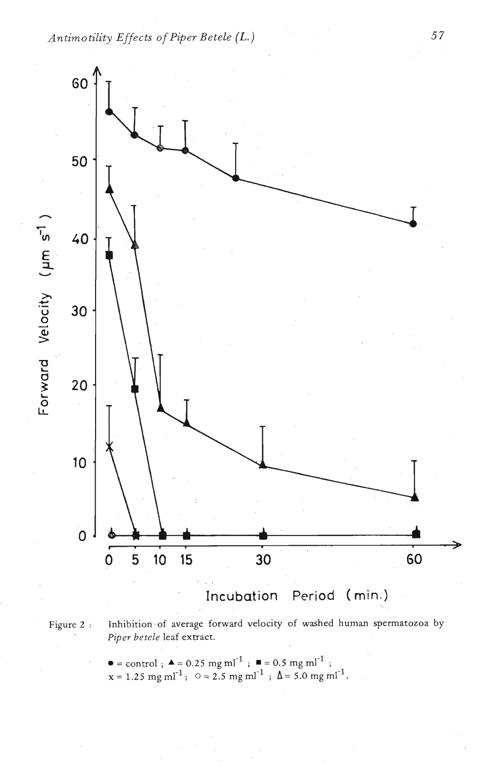

Figure 2 : Inhibition of average forward velocity of washed human spermatozoa by Piper betele leaf extract.

Piper betele leaf extract.<br>
■ = control ;  $\blacktriangle$  = 0.25 mg ml<sup>-1</sup> ; ■ = 0.5 mg ml<sup>-1</sup> ;<br>
x = 1.25 mg ml<sup>-1</sup> ; 0 = 2.5 mg ml<sup>-1</sup> ;  $\Delta$  = 5.0 mg ml<sup>-1</sup>.

57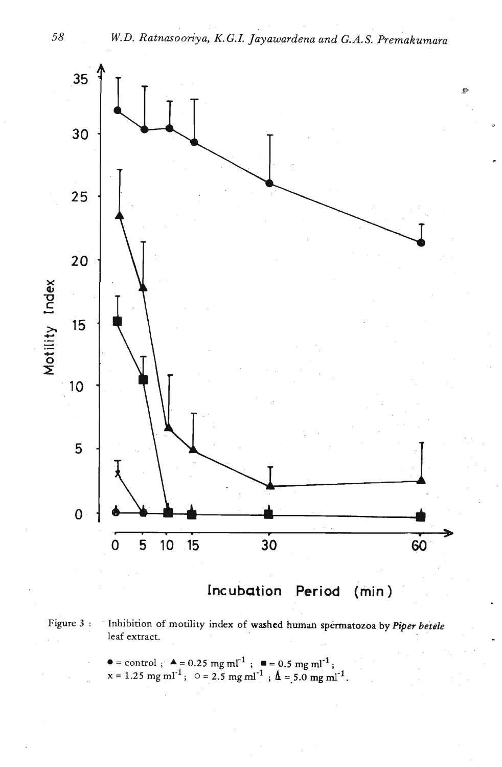

# **Incubation Period (min** )

- **Figure 3** : **Inhibition of motility index of washed human spermatozoa by** *Piper betele*  **leaf extract.** 
	- $=$  control  $;$   $\blacktriangle = 0.25$  mg ml<sup>-1</sup>  $;$   $\blacktriangle = 0.5$  mg ml<sup>-1</sup>  $;$ <br> $x = 1.25$  mg ml<sup>-1</sup>  $;$   $\circ = 2.5$  mg ml<sup>-1</sup>  $;$   $\blacktriangle = 5.0$  mg ml<sup>-1</sup>.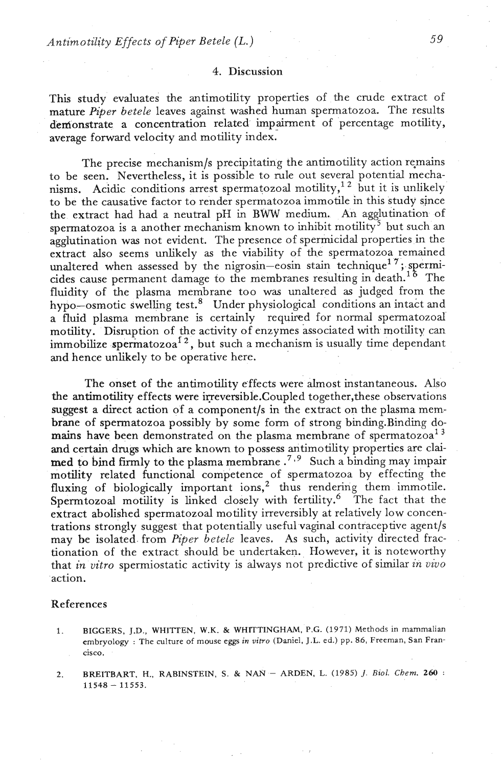#### 4. Discussion

This study evaluates the antimotility properties of the crude extract of mature *Piper betele* leaves against washed human spermatozoa. The results demonstrate a concentration related impairment of percentage motility, average forward velocity and motility index.

The precise mechanism/s precipitating the antimotility action remains to be seen. Nevertheless, it is possible to rule out several potential mechanisms. Acidic conditions arrest spermatozoal motility,<sup>12</sup> but it is unlikely to be the causative factor to render spermatozoa immotile in this study since the extract had had a neutral pH in BWW medium. An agglutination of spermatozoa is a another mechanism known to inhibit motility<sup>5</sup> but such an agglutination was not evident. The presence of spermicidal properties in the extract also seems unlikely **as** the viability of the spermatozoa remained unaltered when assessed by the nigrosin-eosin stain technique<sup>17</sup>; spermicides cause permanent damage to the membranes resulting in death.<sup>16</sup> The fluidity of the plasma membrane too was unaltered as judged from the hypo-osmotic swelling test.<sup>8</sup> Under physiological conditions an intact and a fluid plasma membrane is certainly required for normal spermatozoal motility. Disruption of the activity of enzymes associated with motility can immobilize spermatozoa<sup>12</sup>, but such a mechanism is usually time dependant and hence unlikely to be operative here.

The onset of the antimotility effects were almost instantaneous. Also the **antimotility** effects were irreversible.Coupled together, these observations **suggest** a direct action of a component/s in the extract on the plasma membrane of spermatozoa possibly by some form of strong binding.Binding domains have been demonstrated on the plasma membrane of spermatozoa<sup>13</sup> and certain drugs which are known to possess antimotility properties are clai- $\frac{m}{\pi}$  to bind firmly to the plasma membrane .<sup>7,9</sup> Such a binding may impair motility related functional competence of spermatozoa by effecting the fluxing of biologically important ions,<sup>2</sup> thus rendering them immotile. Spermtozoal motility is linked closely with fertility.6 The fact that the extract abolished spermatozoal motility irreversibly at relatively low concentrations strongly suggest that potentially useful vaginal contraceptive agent/s may be isolated from *Piper betele* leaves. As such, activity directed fractionation of the extract should be undertaken. However, it is noteworthy that in *vitro* spermiostatic activity is always not predictive of similar *in oivo*  action.

#### References

- 1. **BIGGERS, J.D., WHI'ITBN, W.K.** & **WHITTINGHAM. P.G.** (1971) **Methods in mammalian embryology** : **The culture** of **mouse eggs** *in vitro* **(Daniel. J.L. ed.) pp. 86, Freeman, San Francisco.**
- 2. **BREITBART, H., RABINSTEIN, S.** & **NAN ARDEN, L.** (1985) **J.** *~iol. Chem.* **260** : BREITBART, H.<br>11548 – 11553.